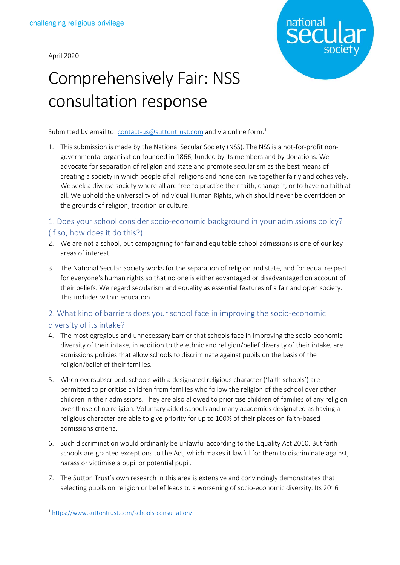April 2020



## Comprehensively Fair: NSS consultation response

Submitted by email to: [contact-us@suttontrust.com](mailto:contact-us@suttontrust.com) and via online form.<sup>1</sup>

1. This submission is made by the National Secular Society (NSS). The NSS is a not-for-profit nongovernmental organisation founded in 1866, funded by its members and by donations. We advocate for separation of religion and state and promote secularism as the best means of creating a society in which people of all religions and none can live together fairly and cohesively. We seek a diverse society where all are free to practise their faith, change it, or to have no faith at all. We uphold the universality of individual Human Rights, which should never be overridden on the grounds of religion, tradition or culture.

## 1. Does your school consider socio-economic background in your admissions policy? (If so, how does it do this?)

- 2. We are not a school, but campaigning for fair and equitable school admissions is one of our key areas of interest.
- 3. The National Secular Society works for the separation of religion and state, and for equal respect for everyone's human rights so that no one is either advantaged or disadvantaged on account of their beliefs. We regard secularism and equality as essential features of a fair and open society. This includes within education.

## 2. What kind of barriers does your school face in improving the socio-economic diversity of its intake?

- 4. The most egregious and unnecessary barrier that schools face in improving the socio-economic diversity of their intake, in addition to the ethnic and religion/belief diversity of their intake, are admissions policies that allow schools to discriminate against pupils on the basis of the religion/belief of their families.
- 5. When oversubscribed, schools with a designated religious character ('faith schools') are permitted to prioritise children from families who follow the religion of the school over other children in their admissions. They are also allowed to prioritise children of families of any religion over those of no religion. Voluntary aided schools and many academies designated as having a religious character are able to give priority for up to 100% of their places on faith-based admissions criteria.
- 6. Such discrimination would ordinarily be unlawful according to the Equality Act 2010. But faith schools are granted exceptions to the Act, which makes it lawful for them to discriminate against, harass or victimise a pupil or potential pupil.
- 7. The Sutton Trust's own research in this area is extensive and convincingly demonstrates that selecting pupils on religion or belief leads to a worsening of socio-economic diversity. Its 2016

<sup>1</sup> <https://www.suttontrust.com/schools-consultation/>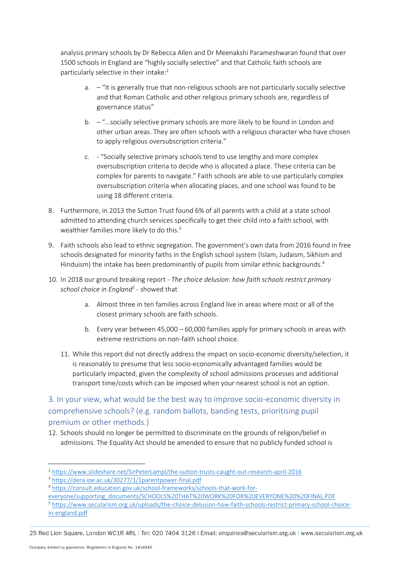analysis primary schools by Dr Rebecca Allen and Dr Meenakshi Parameshwaran found that over 1500 schools in England are "highly socially selective" and that Catholic faith schools are particularly selective in their intake: 2

- a. "It is generally true that non-religious schools are not particularly socially selective and that Roman Catholic and other religious primary schools are, regardless of governance status"
- b. "…socially selective primary schools are more likely to be found in London and other urban areas. They are often schools with a religious character who have chosen to apply religious oversubscription criteria."
- c. "Socially selective primary schools tend to use lengthy and more complex oversubscription criteria to decide who is allocated a place. These criteria can be complex for parents to navigate." Faith schools are able to use particularly complex oversubscription criteria when allocating places, and one school was found to be using 18 different criteria.
- 8. Furthermore, in 2013 the Sutton Trust found 6% of all parents with a child at a state school admitted to attending church services specifically to get their child into a faith school, with wealthier families more likely to do this.<sup>3</sup>
- 9. Faith schools also lead to ethnic segregation. The government's own data from 2016 found in free schools designated for minority faiths in the English school system (Islam, Judaism, Sikhism and Hinduism) the intake has been predominantly of pupils from similar ethnic backgrounds.<sup>4</sup>
- 10. In 2018 our ground breaking report *The choice delusion: how faith schools restrict primary school choice in England<sup>5</sup>* - showed that
	- a. Almost three in ten families across England live in areas where most or all of the closest primary schools are faith schools.
	- b. Every year between 45,000 60,000 families apply for primary schools in areas with extreme restrictions on non-faith school choice.
	- 11. While this report did not directly address the impact on socio-economic diversity/selection, it is reasonably to presume that less socio-economically advantaged families would be particularly impacted, given the complexity of school admissions processes and additional transport time/costs which can be imposed when your nearest school is not an option.

3. In your view, what would be the best way to improve socio-economic diversity in comprehensive schools? (e.g. random ballots, banding tests, prioritising pupil premium or other methods.)

12. Schools should no longer be permitted to discriminate on the grounds of religion/belief in admissions. The Equality Act should be amended to ensure that no publicly funded school is

<sup>2</sup> <https://www.slideshare.net/SirPeterLampl/the-sutton-trusts-caught-out-research-april-2016>

<sup>3</sup> <https://dera.ioe.ac.uk/30277/1/1parentpower-final.pdf>

<sup>4</sup> [https://consult.education.gov.uk/school-frameworks/schools-that-work-for-](https://consult.education.gov.uk/school-frameworks/schools-that-work-for-everyone/supporting_documents/SCHOOLS%20THAT%20WORK%20FOR%20EVERYONE%20%20FINAL.PDF)

[everyone/supporting\\_documents/SCHOOLS%20THAT%20WORK%20FOR%20EVERYONE%20%20FINAL.PDF](https://consult.education.gov.uk/school-frameworks/schools-that-work-for-everyone/supporting_documents/SCHOOLS%20THAT%20WORK%20FOR%20EVERYONE%20%20FINAL.PDF) <sup>5</sup> [https://www.secularism.org.uk/uploads/the-choice-delusion-how-faith-schools-restrict-primary-school-choice](https://www.secularism.org.uk/uploads/the-choice-delusion-how-faith-schools-restrict-primary-school-choice-in-england.pdf)[in-england.pdf](https://www.secularism.org.uk/uploads/the-choice-delusion-how-faith-schools-restrict-primary-school-choice-in-england.pdf)

<sup>25</sup> Red Lion Square, London WC1R 4RL | Tel: 020 7404 3126 | Email: enquiries@secularism.org.uk | www.secularism.org.uk